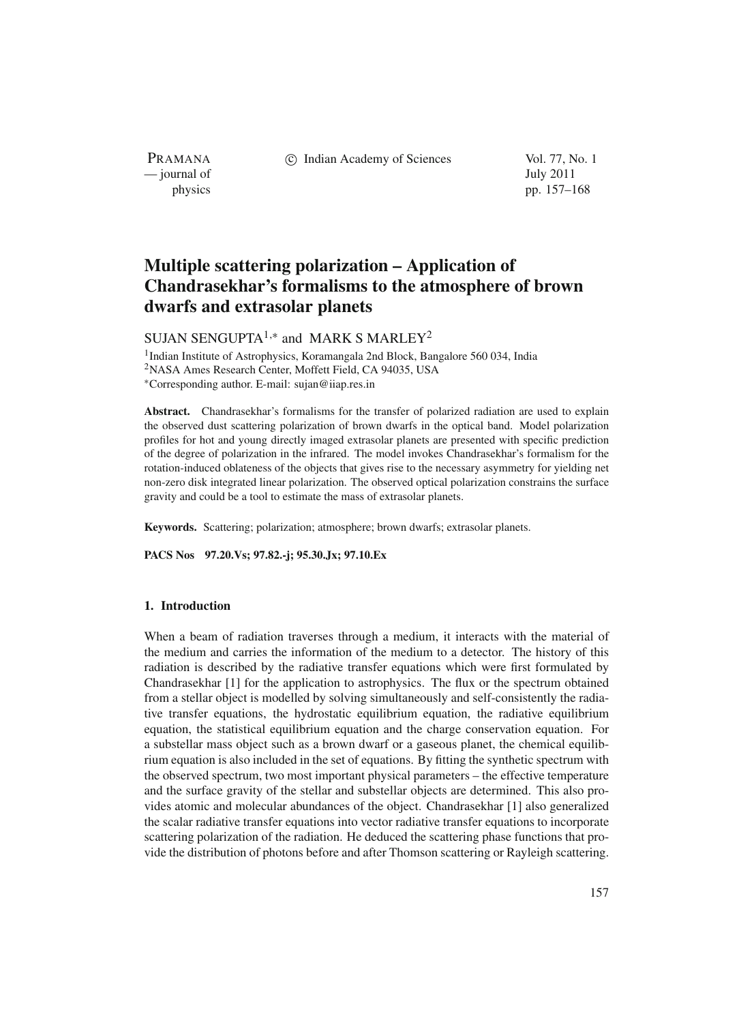c Indian Academy of Sciences Vol. 77, No. 1

physics pp. 157–168

PRAMANA — journal of July 2011

# **Multiple scattering polarization – Application of Chandrasekhar's formalisms to the atmosphere of brown dwarfs and extrasolar planets**

SUJAN SENGUPTA<sup>1,\*</sup> and MARK S MARLEY<sup>2</sup>

<sup>1</sup>Indian Institute of Astrophysics, Koramangala 2nd Block, Bangalore 560 034, India 2NASA Ames Research Center, Moffett Field, CA 94035, USA <sup>∗</sup>Corresponding author. E-mail: sujan@iiap.res.in

**Abstract.** Chandrasekhar's formalisms for the transfer of polarized radiation are used to explain the observed dust scattering polarization of brown dwarfs in the optical band. Model polarization profiles for hot and young directly imaged extrasolar planets are presented with specific prediction of the degree of polarization in the infrared. The model invokes Chandrasekhar's formalism for the rotation-induced oblateness of the objects that gives rise to the necessary asymmetry for yielding net non-zero disk integrated linear polarization. The observed optical polarization constrains the surface gravity and could be a tool to estimate the mass of extrasolar planets.

**Keywords.** Scattering; polarization; atmosphere; brown dwarfs; extrasolar planets.

**PACS Nos 97.20.Vs; 97.82.-j; 95.30.Jx; 97.10.Ex**

# **1. Introduction**

When a beam of radiation traverses through a medium, it interacts with the material of the medium and carries the information of the medium to a detector. The history of this radiation is described by the radiative transfer equations which were first formulated by Chandrasekhar [1] for the application to astrophysics. The flux or the spectrum obtained from a stellar object is modelled by solving simultaneously and self-consistently the radiative transfer equations, the hydrostatic equilibrium equation, the radiative equilibrium equation, the statistical equilibrium equation and the charge conservation equation. For a substellar mass object such as a brown dwarf or a gaseous planet, the chemical equilibrium equation is also included in the set of equations. By fitting the synthetic spectrum with the observed spectrum, two most important physical parameters – the effective temperature and the surface gravity of the stellar and substellar objects are determined. This also provides atomic and molecular abundances of the object. Chandrasekhar [1] also generalized the scalar radiative transfer equations into vector radiative transfer equations to incorporate scattering polarization of the radiation. He deduced the scattering phase functions that provide the distribution of photons before and after Thomson scattering or Rayleigh scattering.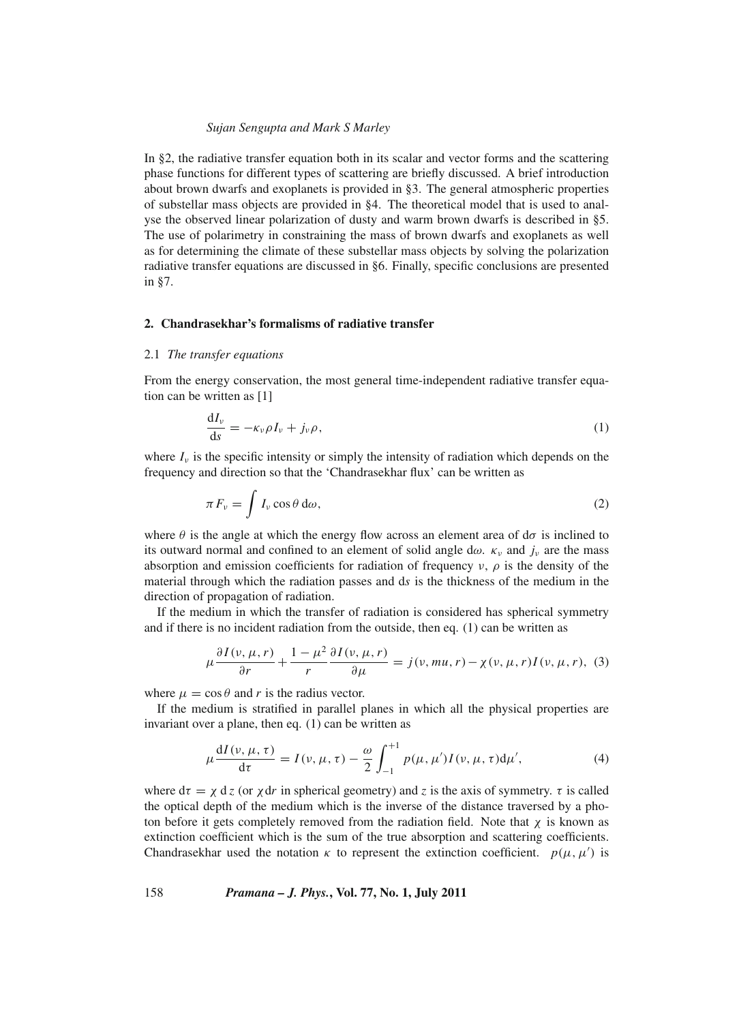In §2, the radiative transfer equation both in its scalar and vector forms and the scattering phase functions for different types of scattering are briefly discussed. A brief introduction about brown dwarfs and exoplanets is provided in §3. The general atmospheric properties of substellar mass objects are provided in §4. The theoretical model that is used to analyse the observed linear polarization of dusty and warm brown dwarfs is described in §5. The use of polarimetry in constraining the mass of brown dwarfs and exoplanets as well as for determining the climate of these substellar mass objects by solving the polarization radiative transfer equations are discussed in §6. Finally, specific conclusions are presented in §7.

# **2. Chandrasekhar's formalisms of radiative transfer**

## 2.1 *The transfer equations*

From the energy conservation, the most general time-independent radiative transfer equation can be written as [1]

$$
\frac{dI_{\nu}}{ds} = -\kappa_{\nu}\rho I_{\nu} + j_{\nu}\rho, \tag{1}
$$

where  $I_{\nu}$  is the specific intensity or simply the intensity of radiation which depends on the frequency and direction so that the 'Chandrasekhar flux' can be written as

$$
\pi F_{\nu} = \int I_{\nu} \cos \theta \, d\omega, \tag{2}
$$

where  $\theta$  is the angle at which the energy flow across an element area of d $\sigma$  is inclined to its outward normal and confined to an element of solid angle d $\omega$ .  $\kappa$ <sub>ν</sub> and  $j_\nu$  are the mass absorption and emission coefficients for radiation of frequency  $\nu$ ,  $\rho$  is the density of the material through which the radiation passes and d*s* is the thickness of the medium in the direction of propagation of radiation.

If the medium in which the transfer of radiation is considered has spherical symmetry and if there is no incident radiation from the outside, then eq. (1) can be written as

$$
\mu \frac{\partial I(\nu, \mu, r)}{\partial r} + \frac{1 - \mu^2}{r} \frac{\partial I(\nu, \mu, r)}{\partial \mu} = j(\nu, mu, r) - \chi(\nu, \mu, r) I(\nu, \mu, r), \tag{3}
$$

where  $\mu = \cos \theta$  and *r* is the radius vector.

If the medium is stratified in parallel planes in which all the physical properties are invariant over a plane, then eq. (1) can be written as

$$
\mu \frac{dI(\nu,\mu,\tau)}{d\tau} = I(\nu,\mu,\tau) - \frac{\omega}{2} \int_{-1}^{+1} p(\mu,\mu') I(\nu,\mu,\tau) d\mu',\tag{4}
$$

where  $d\tau = \chi \, d\zeta$  (or  $\chi dr$  in spherical geometry) and  $\zeta$  is the axis of symmetry.  $\tau$  is called the optical depth of the medium which is the inverse of the distance traversed by a photon before it gets completely removed from the radiation field. Note that  $\chi$  is known as extinction coefficient which is the sum of the true absorption and scattering coefficients. Chandrasekhar used the notation  $\kappa$  to represent the extinction coefficient.  $p(\mu, \mu')$  is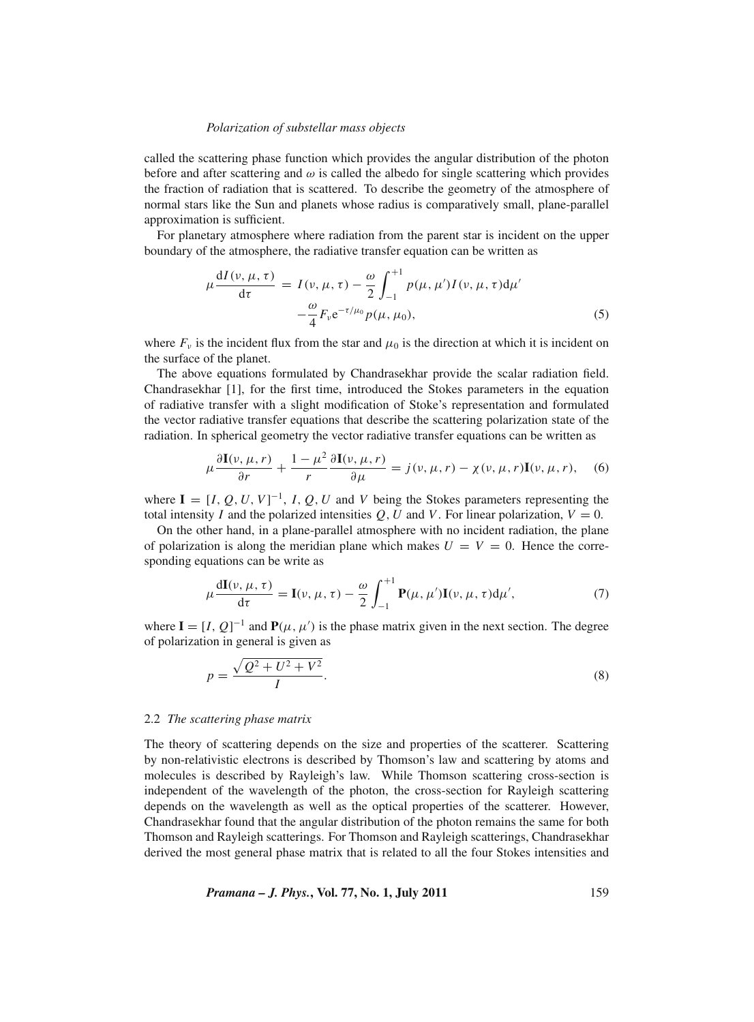called the scattering phase function which provides the angular distribution of the photon before and after scattering and  $\omega$  is called the albedo for single scattering which provides the fraction of radiation that is scattered. To describe the geometry of the atmosphere of normal stars like the Sun and planets whose radius is comparatively small, plane-parallel approximation is sufficient.

For planetary atmosphere where radiation from the parent star is incident on the upper boundary of the atmosphere, the radiative transfer equation can be written as

$$
\mu \frac{dI(\nu, \mu, \tau)}{d\tau} = I(\nu, \mu, \tau) - \frac{\omega}{2} \int_{-1}^{+1} p(\mu, \mu') I(\nu, \mu, \tau) d\mu' - \frac{\omega}{4} F_{\nu} e^{-\tau/\mu_0} p(\mu, \mu_0),
$$
 (5)

where  $F_v$  is the incident flux from the star and  $\mu_0$  is the direction at which it is incident on the surface of the planet.

The above equations formulated by Chandrasekhar provide the scalar radiation field. Chandrasekhar [1], for the first time, introduced the Stokes parameters in the equation of radiative transfer with a slight modification of Stoke's representation and formulated the vector radiative transfer equations that describe the scattering polarization state of the radiation. In spherical geometry the vector radiative transfer equations can be written as

$$
\mu \frac{\partial \mathbf{I}(v, \mu, r)}{\partial r} + \frac{1 - \mu^2}{r} \frac{\partial \mathbf{I}(v, \mu, r)}{\partial \mu} = j(v, \mu, r) - \chi(v, \mu, r) \mathbf{I}(v, \mu, r), \quad (6)
$$

where  $I = [I, Q, U, V]^{-1}$ , *I*, *Q*, *U* and *V* being the Stokes parameters representing the total intensity *I* and the polarized intensities *O*, *U* and *V*. For linear polarization,  $V = 0$ .

On the other hand, in a plane-parallel atmosphere with no incident radiation, the plane of polarization is along the meridian plane which makes  $U = V = 0$ . Hence the corresponding equations can be write as

$$
\mu \frac{d\mathbf{I}(\nu,\mu,\tau)}{d\tau} = \mathbf{I}(\nu,\mu,\tau) - \frac{\omega}{2} \int_{-1}^{+1} \mathbf{P}(\mu,\mu') \mathbf{I}(\nu,\mu,\tau) d\mu', \tag{7}
$$

where  $I = [I, Q]^{-1}$  and  $P(\mu, \mu')$  is the phase matrix given in the next section. The degree of polarization in general is given as

$$
p = \frac{\sqrt{Q^2 + U^2 + V^2}}{I}.
$$
\n(8)

# 2.2 *The scattering phase matrix*

The theory of scattering depends on the size and properties of the scatterer. Scattering by non-relativistic electrons is described by Thomson's law and scattering by atoms and molecules is described by Rayleigh's law. While Thomson scattering cross-section is independent of the wavelength of the photon, the cross-section for Rayleigh scattering depends on the wavelength as well as the optical properties of the scatterer. However, Chandrasekhar found that the angular distribution of the photon remains the same for both Thomson and Rayleigh scatterings. For Thomson and Rayleigh scatterings, Chandrasekhar derived the most general phase matrix that is related to all the four Stokes intensities and

*Pramana – J. Phys.***, Vol. 77, No. 1, July 2011** 159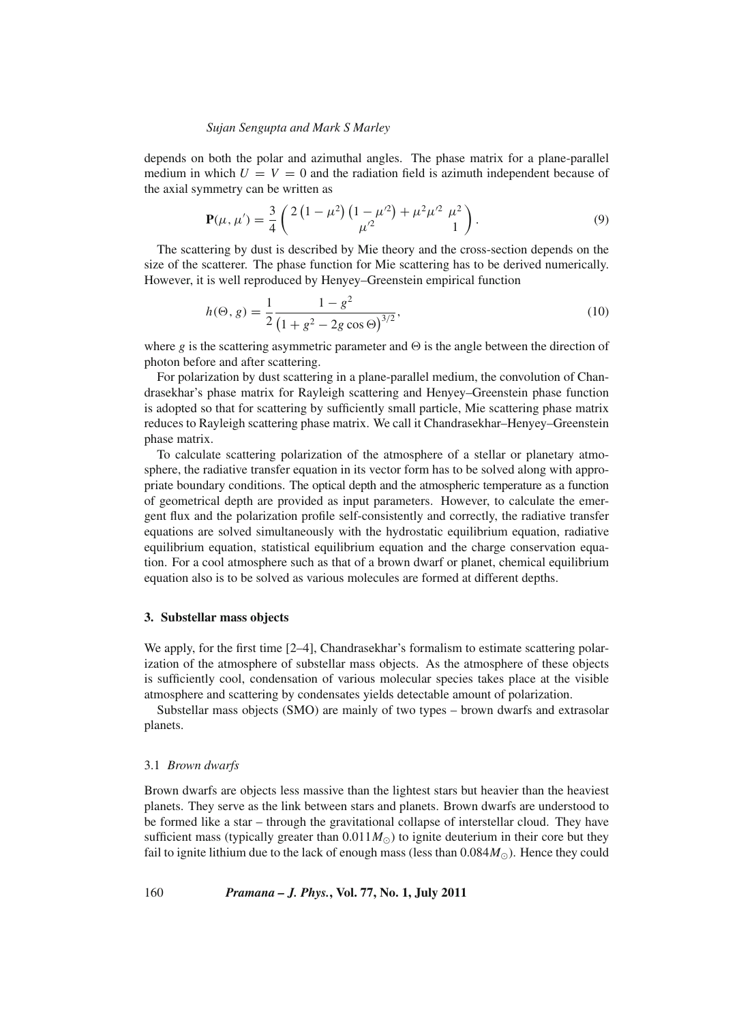depends on both the polar and azimuthal angles. The phase matrix for a plane-parallel medium in which  $U = V = 0$  and the radiation field is azimuth independent because of the axial symmetry can be written as

$$
\mathbf{P}(\mu, \mu') = \frac{3}{4} \begin{pmatrix} 2\left(1 - \mu^2\right) \left(1 - \mu'^2\right) + \mu^2 \mu'^2 & \mu^2 \\ \mu'^2 & 1 \end{pmatrix} . \tag{9}
$$

The scattering by dust is described by Mie theory and the cross-section depends on the size of the scatterer. The phase function for Mie scattering has to be derived numerically. However, it is well reproduced by Henyey–Greenstein empirical function

$$
h(\Theta, g) = \frac{1}{2} \frac{1 - g^2}{\left(1 + g^2 - 2g\cos\Theta\right)^{3/2}},\tag{10}
$$

where  $g$  is the scattering asymmetric parameter and  $\Theta$  is the angle between the direction of photon before and after scattering.

For polarization by dust scattering in a plane-parallel medium, the convolution of Chandrasekhar's phase matrix for Rayleigh scattering and Henyey–Greenstein phase function is adopted so that for scattering by sufficiently small particle, Mie scattering phase matrix reduces to Rayleigh scattering phase matrix. We call it Chandrasekhar–Henyey–Greenstein phase matrix.

To calculate scattering polarization of the atmosphere of a stellar or planetary atmosphere, the radiative transfer equation in its vector form has to be solved along with appropriate boundary conditions. The optical depth and the atmospheric temperature as a function of geometrical depth are provided as input parameters. However, to calculate the emergent flux and the polarization profile self-consistently and correctly, the radiative transfer equations are solved simultaneously with the hydrostatic equilibrium equation, radiative equilibrium equation, statistical equilibrium equation and the charge conservation equation. For a cool atmosphere such as that of a brown dwarf or planet, chemical equilibrium equation also is to be solved as various molecules are formed at different depths.

# **3. Substellar mass objects**

We apply, for the first time  $[2-4]$ , Chandrasekhar's formalism to estimate scattering polarization of the atmosphere of substellar mass objects. As the atmosphere of these objects is sufficiently cool, condensation of various molecular species takes place at the visible atmosphere and scattering by condensates yields detectable amount of polarization.

Substellar mass objects (SMO) are mainly of two types – brown dwarfs and extrasolar planets.

#### 3.1 *Brown dwarfs*

Brown dwarfs are objects less massive than the lightest stars but heavier than the heaviest planets. They serve as the link between stars and planets. Brown dwarfs are understood to be formed like a star – through the gravitational collapse of interstellar cloud. They have sufficient mass (typically greater than  $0.011 M_{\odot}$ ) to ignite deuterium in their core but they fail to ignite lithium due to the lack of enough mass (less than  $0.084M_{\odot}$ ). Hence they could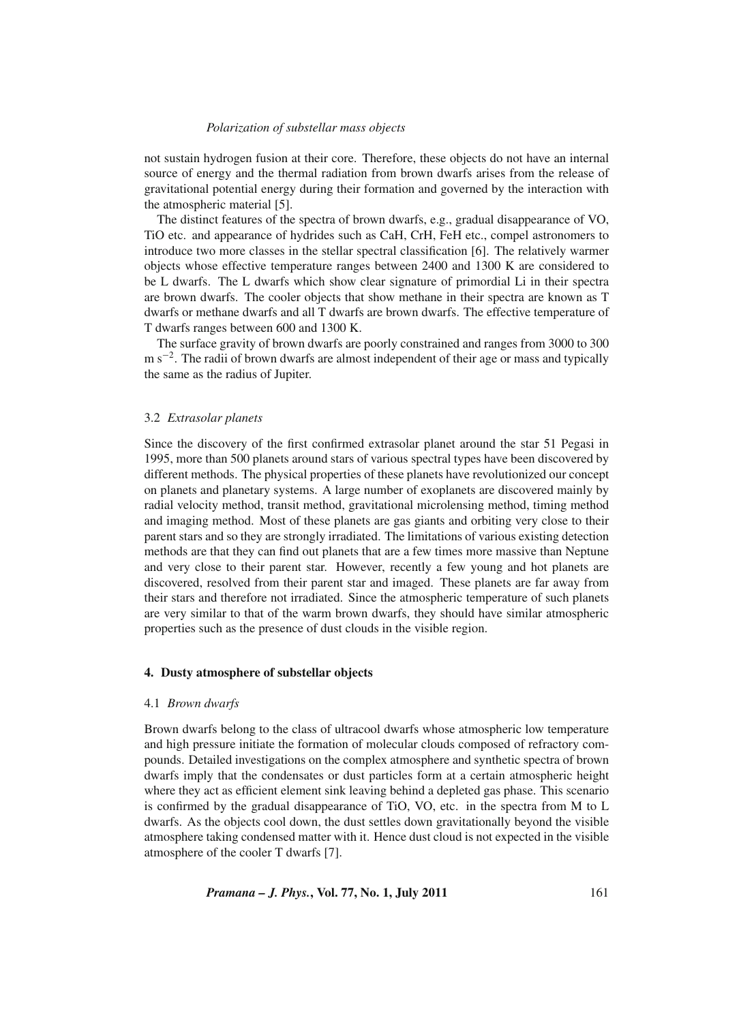not sustain hydrogen fusion at their core. Therefore, these objects do not have an internal source of energy and the thermal radiation from brown dwarfs arises from the release of gravitational potential energy during their formation and governed by the interaction with the atmospheric material [5].

The distinct features of the spectra of brown dwarfs, e.g., gradual disappearance of VO, TiO etc. and appearance of hydrides such as CaH, CrH, FeH etc., compel astronomers to introduce two more classes in the stellar spectral classification [6]. The relatively warmer objects whose effective temperature ranges between 2400 and 1300 K are considered to be L dwarfs. The L dwarfs which show clear signature of primordial Li in their spectra are brown dwarfs. The cooler objects that show methane in their spectra are known as T dwarfs or methane dwarfs and all T dwarfs are brown dwarfs. The effective temperature of T dwarfs ranges between 600 and 1300 K.

The surface gravity of brown dwarfs are poorly constrained and ranges from 3000 to 300 m s<sup>−2</sup>. The radii of brown dwarfs are almost independent of their age or mass and typically the same as the radius of Jupiter.

# 3.2 *Extrasolar planets*

Since the discovery of the first confirmed extrasolar planet around the star 51 Pegasi in 1995, more than 500 planets around stars of various spectral types have been discovered by different methods. The physical properties of these planets have revolutionized our concept on planets and planetary systems. A large number of exoplanets are discovered mainly by radial velocity method, transit method, gravitational microlensing method, timing method and imaging method. Most of these planets are gas giants and orbiting very close to their parent stars and so they are strongly irradiated. The limitations of various existing detection methods are that they can find out planets that are a few times more massive than Neptune and very close to their parent star. However, recently a few young and hot planets are discovered, resolved from their parent star and imaged. These planets are far away from their stars and therefore not irradiated. Since the atmospheric temperature of such planets are very similar to that of the warm brown dwarfs, they should have similar atmospheric properties such as the presence of dust clouds in the visible region.

# **4. Dusty atmosphere of substellar objects**

## 4.1 *Brown dwarfs*

Brown dwarfs belong to the class of ultracool dwarfs whose atmospheric low temperature and high pressure initiate the formation of molecular clouds composed of refractory compounds. Detailed investigations on the complex atmosphere and synthetic spectra of brown dwarfs imply that the condensates or dust particles form at a certain atmospheric height where they act as efficient element sink leaving behind a depleted gas phase. This scenario is confirmed by the gradual disappearance of TiO, VO, etc. in the spectra from M to L dwarfs. As the objects cool down, the dust settles down gravitationally beyond the visible atmosphere taking condensed matter with it. Hence dust cloud is not expected in the visible atmosphere of the cooler T dwarfs [7].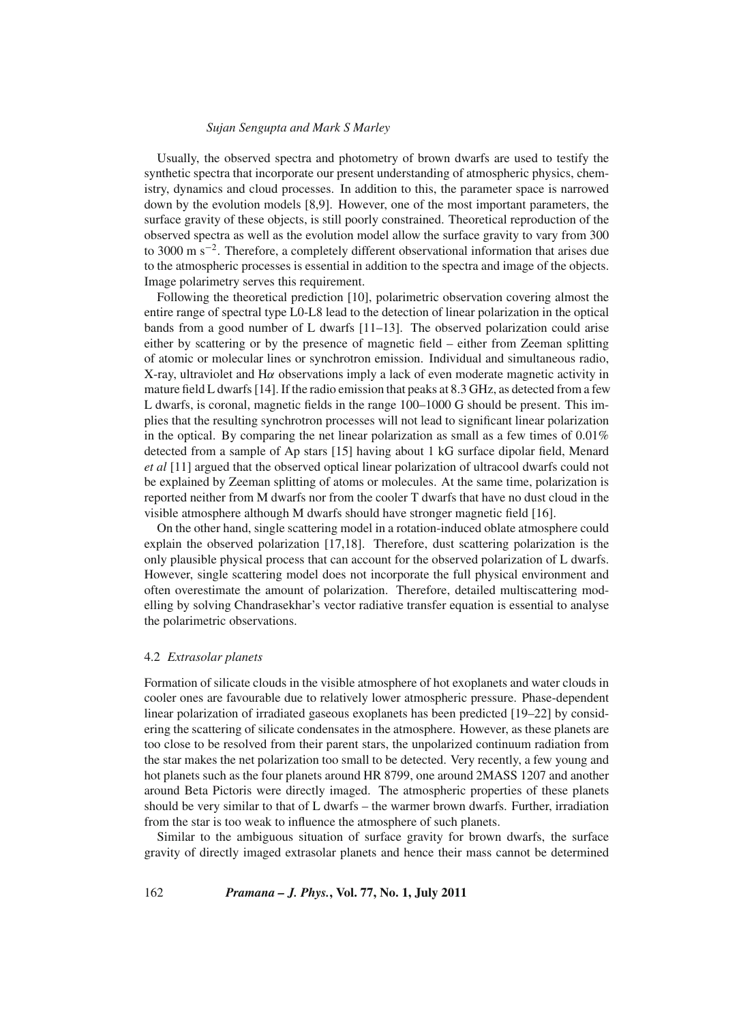Usually, the observed spectra and photometry of brown dwarfs are used to testify the synthetic spectra that incorporate our present understanding of atmospheric physics, chemistry, dynamics and cloud processes. In addition to this, the parameter space is narrowed down by the evolution models [8,9]. However, one of the most important parameters, the surface gravity of these objects, is still poorly constrained. Theoretical reproduction of the observed spectra as well as the evolution model allow the surface gravity to vary from 300 to 3000 m s<sup>−</sup>2. Therefore, a completely different observational information that arises due to the atmospheric processes is essential in addition to the spectra and image of the objects. Image polarimetry serves this requirement.

Following the theoretical prediction [10], polarimetric observation covering almost the entire range of spectral type L0-L8 lead to the detection of linear polarization in the optical bands from a good number of L dwarfs [11–13]. The observed polarization could arise either by scattering or by the presence of magnetic field – either from Zeeman splitting of atomic or molecular lines or synchrotron emission. Individual and simultaneous radio, X-ray, ultraviolet and Hα observations imply a lack of even moderate magnetic activity in mature field L dwarfs [14]. If the radio emission that peaks at 8.3 GHz, as detected from a few L dwarfs, is coronal, magnetic fields in the range 100–1000 G should be present. This implies that the resulting synchrotron processes will not lead to significant linear polarization in the optical. By comparing the net linear polarization as small as a few times of  $0.01\%$ detected from a sample of Ap stars [15] having about 1 kG surface dipolar field, Menard *et al* [11] argued that the observed optical linear polarization of ultracool dwarfs could not be explained by Zeeman splitting of atoms or molecules. At the same time, polarization is reported neither from M dwarfs nor from the cooler T dwarfs that have no dust cloud in the visible atmosphere although M dwarfs should have stronger magnetic field [16].

On the other hand, single scattering model in a rotation-induced oblate atmosphere could explain the observed polarization [17,18]. Therefore, dust scattering polarization is the only plausible physical process that can account for the observed polarization of L dwarfs. However, single scattering model does not incorporate the full physical environment and often overestimate the amount of polarization. Therefore, detailed multiscattering modelling by solving Chandrasekhar's vector radiative transfer equation is essential to analyse the polarimetric observations.

#### 4.2 *Extrasolar planets*

Formation of silicate clouds in the visible atmosphere of hot exoplanets and water clouds in cooler ones are favourable due to relatively lower atmospheric pressure. Phase-dependent linear polarization of irradiated gaseous exoplanets has been predicted [19–22] by considering the scattering of silicate condensates in the atmosphere. However, as these planets are too close to be resolved from their parent stars, the unpolarized continuum radiation from the star makes the net polarization too small to be detected. Very recently, a few young and hot planets such as the four planets around HR 8799, one around 2MASS 1207 and another around Beta Pictoris were directly imaged. The atmospheric properties of these planets should be very similar to that of L dwarfs – the warmer brown dwarfs. Further, irradiation from the star is too weak to influence the atmosphere of such planets.

Similar to the ambiguous situation of surface gravity for brown dwarfs, the surface gravity of directly imaged extrasolar planets and hence their mass cannot be determined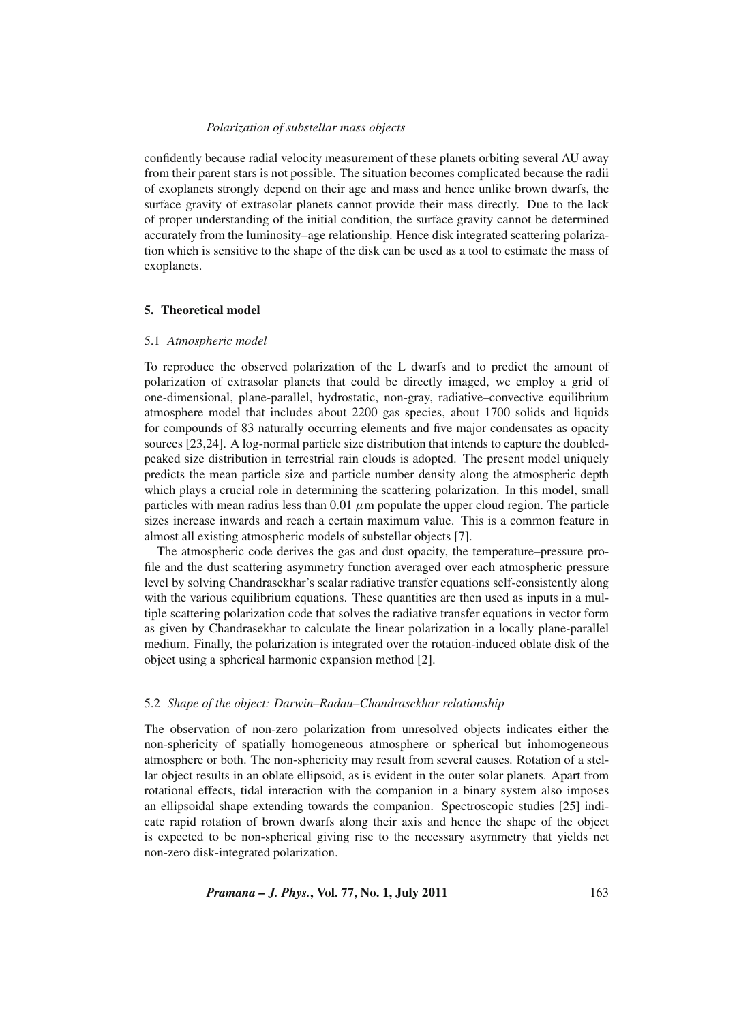confidently because radial velocity measurement of these planets orbiting several AU away from their parent stars is not possible. The situation becomes complicated because the radii of exoplanets strongly depend on their age and mass and hence unlike brown dwarfs, the surface gravity of extrasolar planets cannot provide their mass directly. Due to the lack of proper understanding of the initial condition, the surface gravity cannot be determined accurately from the luminosity–age relationship. Hence disk integrated scattering polarization which is sensitive to the shape of the disk can be used as a tool to estimate the mass of exoplanets.

# **5. Theoretical model**

## 5.1 *Atmospheric model*

To reproduce the observed polarization of the L dwarfs and to predict the amount of polarization of extrasolar planets that could be directly imaged, we employ a grid of one-dimensional, plane-parallel, hydrostatic, non-gray, radiative–convective equilibrium atmosphere model that includes about 2200 gas species, about 1700 solids and liquids for compounds of 83 naturally occurring elements and five major condensates as opacity sources [23,24]. A log-normal particle size distribution that intends to capture the doubledpeaked size distribution in terrestrial rain clouds is adopted. The present model uniquely predicts the mean particle size and particle number density along the atmospheric depth which plays a crucial role in determining the scattering polarization. In this model, small particles with mean radius less than 0.01  $\mu$ m populate the upper cloud region. The particle sizes increase inwards and reach a certain maximum value. This is a common feature in almost all existing atmospheric models of substellar objects [7].

The atmospheric code derives the gas and dust opacity, the temperature–pressure profile and the dust scattering asymmetry function averaged over each atmospheric pressure level by solving Chandrasekhar's scalar radiative transfer equations self-consistently along with the various equilibrium equations. These quantities are then used as inputs in a multiple scattering polarization code that solves the radiative transfer equations in vector form as given by Chandrasekhar to calculate the linear polarization in a locally plane-parallel medium. Finally, the polarization is integrated over the rotation-induced oblate disk of the object using a spherical harmonic expansion method [2].

# 5.2 *Shape of the object: Darwin–Radau–Chandrasekhar relationship*

The observation of non-zero polarization from unresolved objects indicates either the non-sphericity of spatially homogeneous atmosphere or spherical but inhomogeneous atmosphere or both. The non-sphericity may result from several causes. Rotation of a stellar object results in an oblate ellipsoid, as is evident in the outer solar planets. Apart from rotational effects, tidal interaction with the companion in a binary system also imposes an ellipsoidal shape extending towards the companion. Spectroscopic studies [25] indicate rapid rotation of brown dwarfs along their axis and hence the shape of the object is expected to be non-spherical giving rise to the necessary asymmetry that yields net non-zero disk-integrated polarization.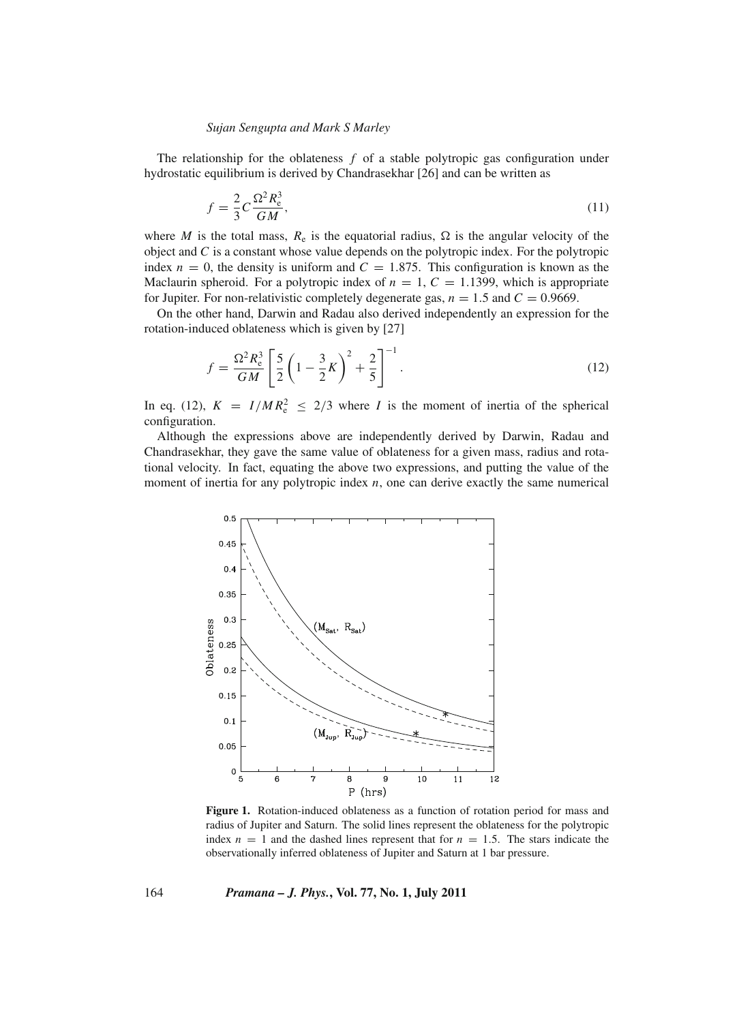The relationship for the oblateness *f* of a stable polytropic gas configuration under hydrostatic equilibrium is derived by Chandrasekhar [26] and can be written as

$$
f = \frac{2}{3}C\frac{\Omega^2 R_e^3}{GM},\tag{11}
$$

where *M* is the total mass,  $R_e$  is the equatorial radius,  $\Omega$  is the angular velocity of the object and *C* is a constant whose value depends on the polytropic index. For the polytropic index  $n = 0$ , the density is uniform and  $C = 1.875$ . This configuration is known as the Maclaurin spheroid. For a polytropic index of  $n = 1$ ,  $C = 1.1399$ , which is appropriate for Jupiter. For non-relativistic completely degenerate gas,  $n = 1.5$  and  $C = 0.9669$ .

On the other hand, Darwin and Radau also derived independently an expression for the rotation-induced oblateness which is given by [27]

$$
f = \frac{\Omega^2 R_e^3}{GM} \left[ \frac{5}{2} \left( 1 - \frac{3}{2} K \right)^2 + \frac{2}{5} \right]^{-1} .
$$
 (12)

In eq. (12),  $K = I/M R_e^2 \le 2/3$  where *I* is the moment of inertia of the spherical configuration.

Although the expressions above are independently derived by Darwin, Radau and Chandrasekhar, they gave the same value of oblateness for a given mass, radius and rotational velocity. In fact, equating the above two expressions, and putting the value of the moment of inertia for any polytropic index *n*, one can derive exactly the same numerical



**Figure 1.** Rotation-induced oblateness as a function of rotation period for mass and radius of Jupiter and Saturn. The solid lines represent the oblateness for the polytropic index  $n = 1$  and the dashed lines represent that for  $n = 1.5$ . The stars indicate the observationally inferred oblateness of Jupiter and Saturn at 1 bar pressure.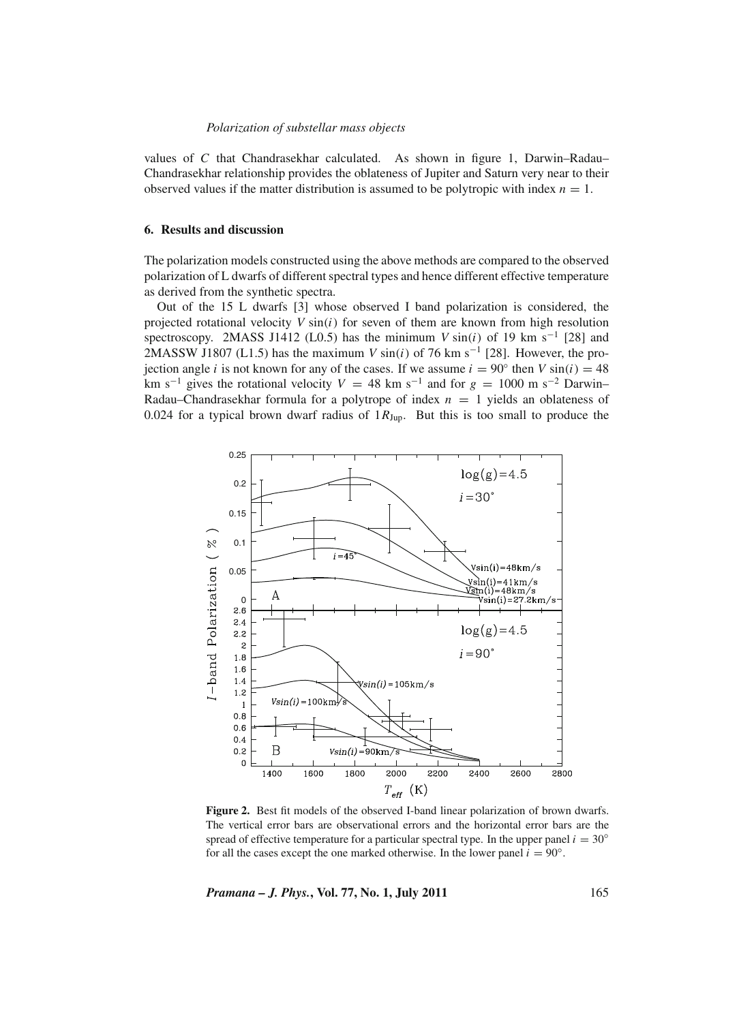values of *C* that Chandrasekhar calculated. As shown in figure 1, Darwin–Radau– Chandrasekhar relationship provides the oblateness of Jupiter and Saturn very near to their observed values if the matter distribution is assumed to be polytropic with index  $n = 1$ .

## **6. Results and discussion**

The polarization models constructed using the above methods are compared to the observed polarization of L dwarfs of different spectral types and hence different effective temperature as derived from the synthetic spectra.

Out of the 15 L dwarfs [3] whose observed I band polarization is considered, the projected rotational velocity  $V \sin(i)$  for seven of them are known from high resolution spectroscopy. 2MASS J1412 (L0.5) has the minimum  $V \sin(i)$  of 19 km s<sup>-1</sup> [28] and 2MASSW J1807 (L1.5) has the maximum *V* sin(*i*) of 76 km s<sup>−1</sup> [28]. However, the projection angle *i* is not known for any of the cases. If we assume  $i = 90°$  then  $V \sin(i) = 48$ km s<sup>-1</sup> gives the rotational velocity  $V = 48$  km s<sup>-1</sup> and for  $g = 1000$  m s<sup>-2</sup> Darwin– Radau–Chandrasekhar formula for a polytrope of index  $n = 1$  yields an oblateness of 0.024 for a typical brown dwarf radius of  $1R_{Jup}$ . But this is too small to produce the



**Figure 2.** Best fit models of the observed I-band linear polarization of brown dwarfs. The vertical error bars are observational errors and the horizontal error bars are the spread of effective temperature for a particular spectral type. In the upper panel  $i = 30^\circ$ for all the cases except the one marked otherwise. In the lower panel  $i = 90^\circ$ .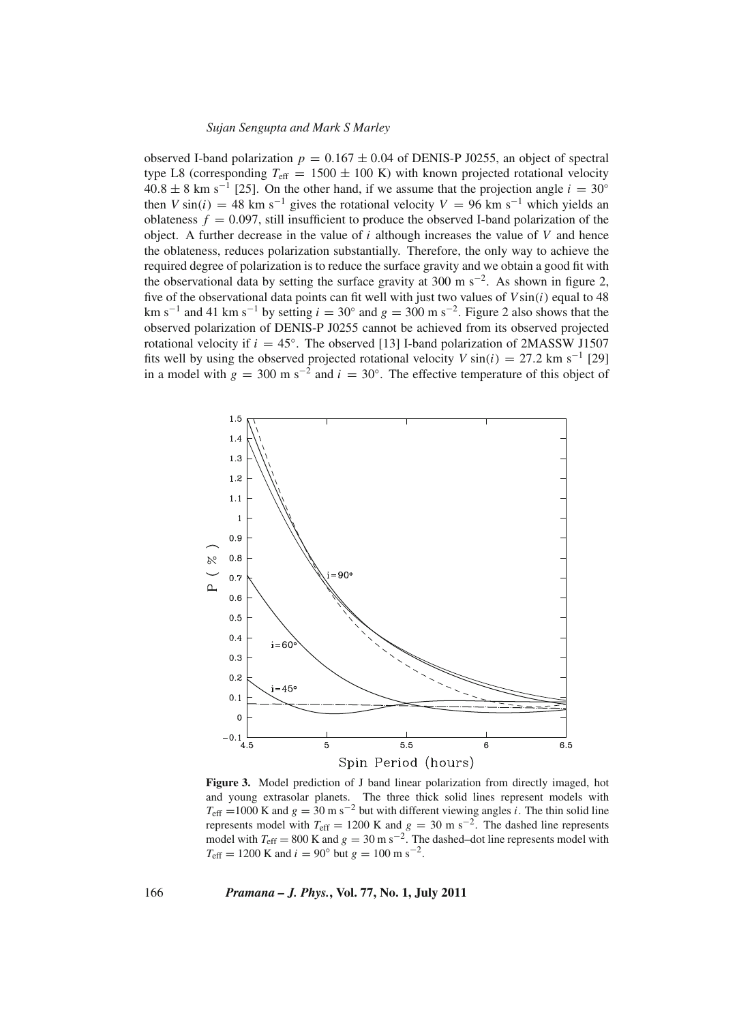observed I-band polarization  $p = 0.167 \pm 0.04$  of DENIS-P J0255, an object of spectral type L8 (corresponding  $T_{\text{eff}} = 1500 \pm 100 \text{ K}$ ) with known projected rotational velocity  $40.8 \pm 8$  km s<sup>-1</sup> [25]. On the other hand, if we assume that the projection angle  $i = 30^\circ$ then *V* sin(*i*) = 48 km s<sup>-1</sup> gives the rotational velocity *V* = 96 km s<sup>-1</sup> which yields an oblateness  $f = 0.097$ , still insufficient to produce the observed I-band polarization of the object. A further decrease in the value of *i* although increases the value of *V* and hence the oblateness, reduces polarization substantially. Therefore, the only way to achieve the required degree of polarization is to reduce the surface gravity and we obtain a good fit with the observational data by setting the surface gravity at 300 m s<sup>-2</sup>. As shown in figure 2, five of the observational data points can fit well with just two values of  $V\sin(i)$  equal to 48 km s<sup>-1</sup> and 41 km s<sup>-1</sup> by setting  $i = 30°$  and  $g = 300$  m s<sup>-2</sup>. Figure 2 also shows that the observed polarization of DENIS-P J0255 cannot be achieved from its observed projected rotational velocity if  $i = 45^\circ$ . The observed [13] I-band polarization of 2MASSW J1507 fits well by using the observed projected rotational velocity *V* sin(*i*) = 27.2 km s<sup>-1</sup> [29] in a model with  $g = 300$  m s<sup>-2</sup> and  $i = 30°$ . The effective temperature of this object of



**Figure 3.** Model prediction of J band linear polarization from directly imaged, hot and young extrasolar planets. The three thick solid lines represent models with  $T_{\text{eff}}$  =1000 K and  $g = 30 \text{ m s}^{-2}$  but with different viewing angles *i*. The thin solid line represents model with  $T_{\text{eff}} = 1200 \text{ K}$  and  $g = 30 \text{ m s}^{-2}$ . The dashed line represents model with  $T_{\text{eff}} = 800 \text{ K}$  and  $g = 30 \text{ m s}^{-2}$ . The dashed–dot line represents model with  $T_{\text{eff}} = 1200 \text{ K}$  and  $i = 90°$  but  $g = 100 \text{ m s}^{-2}$ .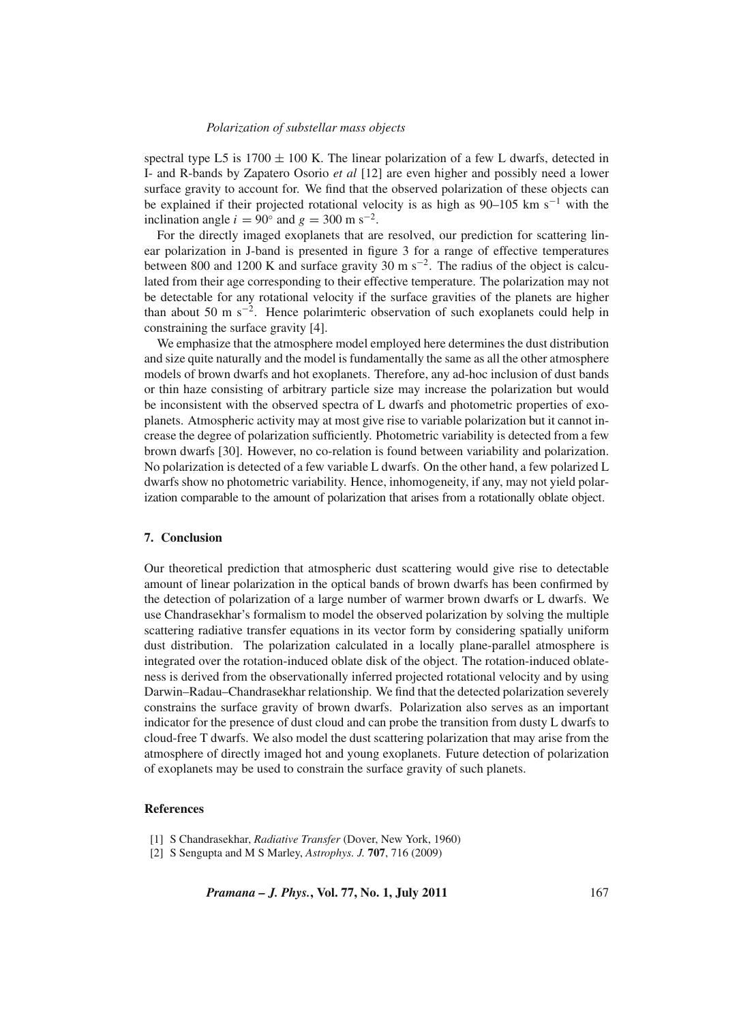spectral type L5 is 1700  $\pm$  100 K. The linear polarization of a few L dwarfs, detected in I- and R-bands by Zapatero Osorio *et al* [12] are even higher and possibly need a lower surface gravity to account for. We find that the observed polarization of these objects can be explained if their projected rotational velocity is as high as  $90-105$  km s<sup>−1</sup> with the inclination angle  $i = 90°$  and  $g = 300$  m s<sup>-2</sup>.

For the directly imaged exoplanets that are resolved, our prediction for scattering linear polarization in J-band is presented in figure 3 for a range of effective temperatures between 800 and 1200 K and surface gravity 30 m s<sup>-2</sup>. The radius of the object is calculated from their age corresponding to their effective temperature. The polarization may not be detectable for any rotational velocity if the surface gravities of the planets are higher than about 50 m s<sup>−</sup>2. Hence polarimteric observation of such exoplanets could help in constraining the surface gravity [4].

We emphasize that the atmosphere model employed here determines the dust distribution and size quite naturally and the model is fundamentally the same as all the other atmosphere models of brown dwarfs and hot exoplanets. Therefore, any ad-hoc inclusion of dust bands or thin haze consisting of arbitrary particle size may increase the polarization but would be inconsistent with the observed spectra of L dwarfs and photometric properties of exoplanets. Atmospheric activity may at most give rise to variable polarization but it cannot increase the degree of polarization sufficiently. Photometric variability is detected from a few brown dwarfs [30]. However, no co-relation is found between variability and polarization. No polarization is detected of a few variable L dwarfs. On the other hand, a few polarized L dwarfs show no photometric variability. Hence, inhomogeneity, if any, may not yield polarization comparable to the amount of polarization that arises from a rotationally oblate object.

## **7. Conclusion**

Our theoretical prediction that atmospheric dust scattering would give rise to detectable amount of linear polarization in the optical bands of brown dwarfs has been confirmed by the detection of polarization of a large number of warmer brown dwarfs or L dwarfs. We use Chandrasekhar's formalism to model the observed polarization by solving the multiple scattering radiative transfer equations in its vector form by considering spatially uniform dust distribution. The polarization calculated in a locally plane-parallel atmosphere is integrated over the rotation-induced oblate disk of the object. The rotation-induced oblateness is derived from the observationally inferred projected rotational velocity and by using Darwin–Radau–Chandrasekhar relationship. We find that the detected polarization severely constrains the surface gravity of brown dwarfs. Polarization also serves as an important indicator for the presence of dust cloud and can probe the transition from dusty L dwarfs to cloud-free T dwarfs. We also model the dust scattering polarization that may arise from the atmosphere of directly imaged hot and young exoplanets. Future detection of polarization of exoplanets may be used to constrain the surface gravity of such planets.

# **References**

- [1] S Chandrasekhar, *Radiative Transfer* (Dover, New York, 1960)
- [2] S Sengupta and M S Marley, *Astrophys. J.* **707**, 716 (2009)